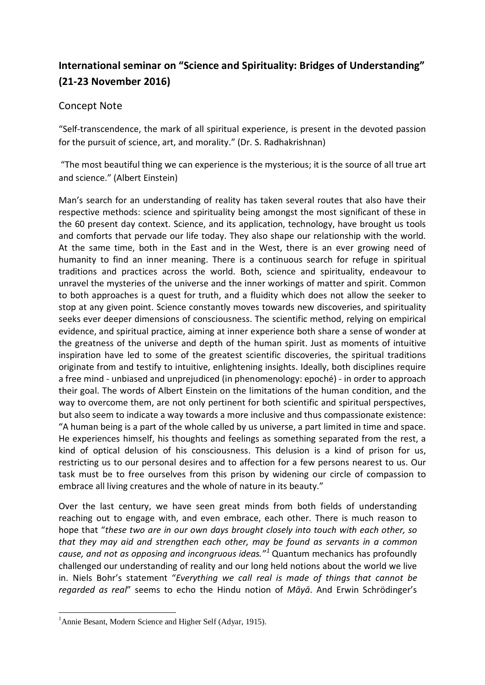## **International seminar on "Science and Spirituality: Bridges of Understanding" (21-23 November 2016)**

## Concept Note

"Self-transcendence, the mark of all spiritual experience, is present in the devoted passion for the pursuit of science, art, and morality." (Dr. S. Radhakrishnan)

"The most beautiful thing we can experience is the mysterious; it is the source of all true art and science." (Albert Einstein)

Man's search for an understanding of reality has taken several routes that also have their respective methods: science and spirituality being amongst the most significant of these in the 60 present day context. Science, and its application, technology, have brought us tools and comforts that pervade our life today. They also shape our relationship with the world. At the same time, both in the East and in the West, there is an ever growing need of humanity to find an inner meaning. There is a continuous search for refuge in spiritual traditions and practices across the world. Both, science and spirituality, endeavour to unravel the mysteries of the universe and the inner workings of matter and spirit. Common to both approaches is a quest for truth, and a fluidity which does not allow the seeker to stop at any given point. Science constantly moves towards new discoveries, and spirituality seeks ever deeper dimensions of consciousness. The scientific method, relying on empirical evidence, and spiritual practice, aiming at inner experience both share a sense of wonder at the greatness of the universe and depth of the human spirit. Just as moments of intuitive inspiration have led to some of the greatest scientific discoveries, the spiritual traditions originate from and testify to intuitive, enlightening insights. Ideally, both disciplines require a free mind - unbiased and unprejudiced (in phenomenology: epoché) - in order to approach their goal. The words of Albert Einstein on the limitations of the human condition, and the way to overcome them, are not only pertinent for both scientific and spiritual perspectives, but also seem to indicate a way towards a more inclusive and thus compassionate existence: "A human being is a part of the whole called by us universe, a part limited in time and space. He experiences himself, his thoughts and feelings as something separated from the rest, a kind of optical delusion of his consciousness. This delusion is a kind of prison for us, restricting us to our personal desires and to affection for a few persons nearest to us. Our task must be to free ourselves from this prison by widening our circle of compassion to embrace all living creatures and the whole of nature in its beauty."

Over the last century, we have seen great minds from both fields of understanding reaching out to engage with, and even embrace, each other. There is much reason to hope that "*these two are in our own days brought closely into touch with each other, so that they may aid and strengthen each other, may be found as servants in a common cause, and not as opposing and incongruous ideas."[1](#page-0-0)* Quantum mechanics has profoundly challenged our understanding of reality and our long held notions about the world we live in. Niels Bohr's statement "*Everything we call real is made of things that cannot be regarded as real*" seems to echo the Hindu notion of *Māyā*. And Erwin Schrödinger's

<span id="page-0-0"></span> $\frac{1}{1}$ <sup>1</sup> Annie Besant, Modern Science and Higher Self (Advar, 1915).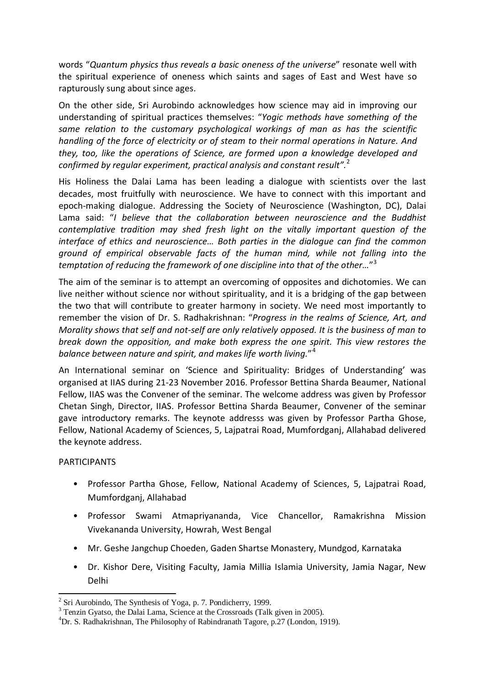words "*Quantum physics thus reveals a basic oneness of the universe*" resonate well with the spiritual experience of oneness which saints and sages of East and West have so rapturously sung about since ages.

On the other side, Sri Aurobindo acknowledges how science may aid in improving our understanding of spiritual practices themselves: "*Yogic methods have something of the same relation to the customary psychological workings of man as has the scientific handling of the force of electricity or of steam to their normal operations in Nature. And they, too, like the operations of Science, are formed upon a knowledge developed and confirmed by regular experiment, practical analysis and constant result".*[2](#page-1-0)

His Holiness the Dalai Lama has been leading a dialogue with scientists over the last decades, most fruitfully with neuroscience. We have to connect with this important and epoch-making dialogue. Addressing the Society of Neuroscience (Washington, DC), Dalai Lama said: "*I believe that the collaboration between neuroscience and the Buddhist contemplative tradition may shed fresh light on the vitally important question of the interface of ethics and neuroscience… Both parties in the dialogue can find the common ground of empirical observable facts of the human mind, while not falling into the temptation of reducing the framework of one discipline into that of the other…*" [3](#page-1-0)

The aim of the seminar is to attempt an overcoming of opposites and dichotomies. We can live neither without science nor without spirituality, and it is a bridging of the gap between the two that will contribute to greater harmony in society. We need most importantly to remember the vision of Dr. S. Radhakrishnan: "*Progress in the realms of Science, Art, and Morality shows that self and not-self are only relatively opposed. It is the business of man to break down the opposition, and make both express the one spirit. This view restores the balance between nature and spirit, and makes life worth living.*" [4](#page-1-0)

An International seminar on 'Science and Spirituality: Bridges of Understanding' was organised at IIAS during 21-23 November 2016. Professor Bettina Sharda Beaumer, National Fellow, IIAS was the Convener of the seminar. The welcome address was given by Professor Chetan Singh, Director, IIAS. Professor Bettina Sharda Beaumer, Convener of the seminar gave introductory remarks. The keynote addresss was given by Professor Partha Ghose, Fellow, National Academy of Sciences, 5, Lajpatrai Road, Mumfordganj, Allahabad delivered the keynote address.

## PARTICIPANTS

- Professor Partha Ghose, Fellow, National Academy of Sciences, 5, Lajpatrai Road, Mumfordganj, Allahabad
- Professor Swami Atmapriyananda, Vice Chancellor, Ramakrishna Mission Vivekananda University, Howrah, West Bengal
- Mr. Geshe Jangchup Choeden, Gaden Shartse Monastery, Mundgod, Karnataka
- Dr. Kishor Dere, Visiting Faculty, Jamia Millia Islamia University, Jamia Nagar, New Delhi

<sup>2</sup> Sri Aurobindo, The Synthesis of Yoga, p. 7. Pondicherry, 1999.

<span id="page-1-0"></span><sup>&</sup>lt;sup>3</sup> Tenzin Gyatso, the Dalai Lama, Science at the Crossroads (Talk given in 2005).

<sup>&</sup>lt;sup>4</sup>Dr. S. Radhakrishnan, The Philosophy of Rabindranath Tagore, p.27 (London, 1919).